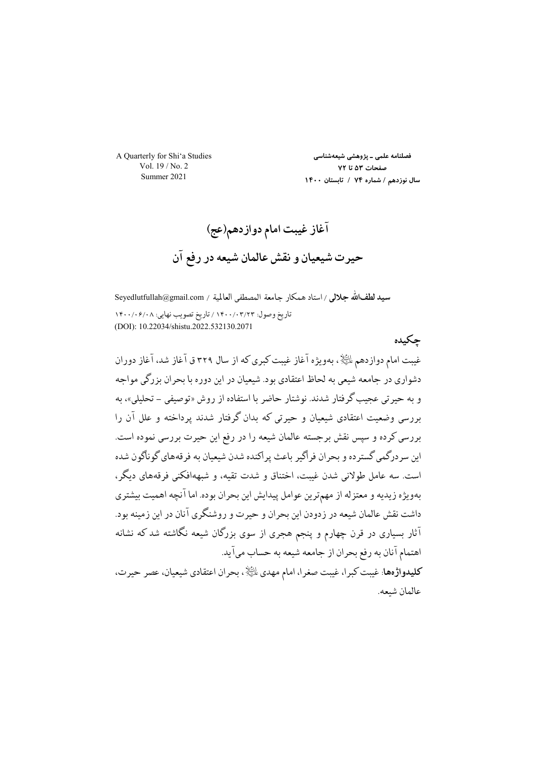A Quarterly for Shi'a Studies Vol. 19 / No. 2 Summer 2021

فصلنامه علمی ـ پژوهشی شیعهشناسی صفحات ۵۳ تا ۷۲ سال نوزدهم / شماره ۷۴ / تابستان ١۴٠٠

حكىدە

سيد لطفالله جلالي / استاد همكار جامعة المصطفى العالمية / Seyedlutfullah@gmail.com تاريخ وصول: ١۴٠٠/٠٣/٢٣ / تاريخ تصويب نهايي: ١٤٠٠/٠۶/٠٨ (DOI): 10.22034/shistu.2022.532130.2071

غیبت امام دوازدهم لمائِیاد ، بهویژه آغاز غیبت کبری که از سال ۳۲۹ ق آغاز شد، آغاز دوران دشواري در جامعه شيعي به لحاظ اعتقادي بود. شيعيان در اين دوره با بحران بزرگي مواجه و به حیرتی عجیب گرفتار شدند. نوشتار حاضر با استفاده از روش «توصیفی – تحلیلی»، به بررسی وضعیت اعتقادی شیعیان و حبرتی که بدان گرفتار شدند پرداخته و علل آن را بررسی کرده و سیس نقش برجسته عالمان شیعه را در رفع این حیرت بررسی نموده است. این سر درگمی گستر ده و بحران فراگیر باعث پر اکنده شدن شیعیان به فرقههای گوناگون شده است. سه عامل طولانی شدن غیبت، اختناق و شدت تقیه، و شبههافکنی فرقههای دیگر، بهويژه زيديه و معتزله از مهمترين عوامل پيدايش اين بحران بوده. اما آنچه اهميت بيشتري داشت نقش عالمان شیعه در زدودن این بحران و حیرت و روشنگری آنان در این زمینه بود. آثار بسیاری در قرن چهارم و پنجم هجری از سوی بزرگان شیعه نگاشته شد که نشانه اهتمام آنان به رفع بحران از جامعه شیعه به حساب میآید. كليدواژهها: غيبت كبرا، غيبت صغرا، امام مهدي للَّيَّالا ، بحران اعتقادي شيعيان، عصر حيرت، عالمان شىعە.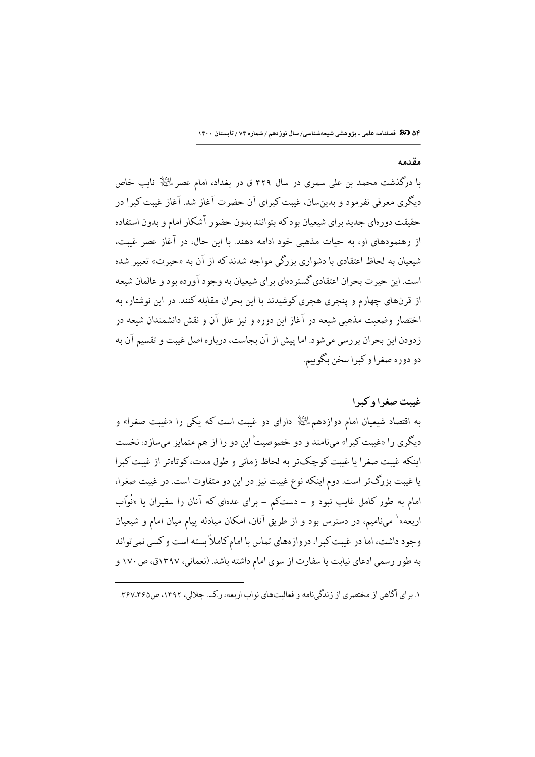۵۴ 30 میلنامه علمی ـ پژوهشی شیعهشناسی/ سال نوزدهم / شماره ۷۴ / تابستان ۱۴۰۰

## مقدمه

با درگذشت محمد بن علی سمری در سال ۳۲۹ ق در بغداد، امام عصر الﷺ نایب خاص دیگری معرفی نفرمود و بدینِسان، غیبت کبرای آن حضرت آغاز شد. آغاز غیبت کبرا در حقیقت دورهای جدید برای شیعیان بودکه بتوانند بدون حضور آشکار امام و بدون استفاده از رهنمودهای او، به حیات مذهبی خود ادامه دهند. با این حال، در آغاز عصر غیبت، شیعیان به لحاظ اعتقادی با دشواری بزرگی مواجه شدند که از آن به «حیرت» تعبیر شده است. این حیر ت بحر ان اعتقادی گستر دهای بر ای شیعیان به وجود آورده بود و عالمان شیعه از قرنهای چهارم و پنجری هجری کوشیدند با این بحران مقابله کنند. در این نوشتار، به اختصار وضعيت مذهبي شيعه در آغاز اين دوره و نيز علل آن و نقش دانشمندان شيعه در زدودن این بحران بررسی میشود. اما پیش از آن بجاست، درباره اصل غیبت و تقسیم آن به دو دوره صغرا و کبرا سخن بگوييم.

## غيبت صغرا وكبرا

به اقتصاد شیعیان امام دوازدهم ﷺ دارای دو غیبت است که یکی را «غیبت صغرا» و دیگری را «غیبت کبرا» مینامند و دو خصوصیتْ این دو را از هم متمایز میسازد: نخست اينكه غيبت صغرا يا غيبت كوچك تر به لحاظ زماني و طول مدت، كو تاهتر از غيبت كبرا یا غیبت بزرگتر است. دوم اینکه نوع غیبت نیز در این دو متفاوت است. در غیبت صغرا، امام به طور کامل غایب نبود و – دستکم – برای عدهای که آنان را سفیران یا «نُواّب اربعه»` میiامیم، در دسترس بود و از طریق آنان، امکان مبادله پیام میان امام و شیعیان وجود داشت، اما در غیبت کبرا، دروازههای تماس با امام کاملاً بسته است و کسی نمیتواند به طور رسمي ادعاي نيابت يا سفارت از سوى امام داشته باشد. (نعماني، ١٣٩٧ق، ص ١٧٠ و

۱. برای آگاهی از مختصری از زندگی نامه و فعالیتهای نواب اربعه، ر.ک. جلالی، ۱۳۹۲، ص۳۶۵-۳۶۷.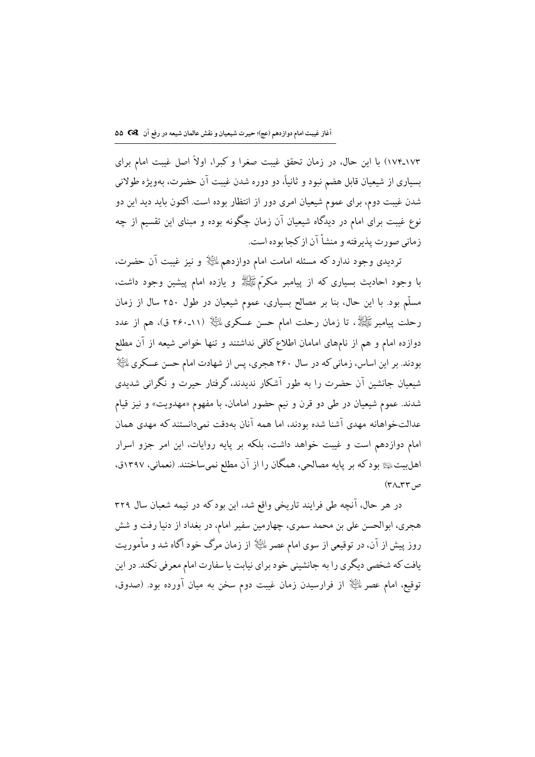١٧٣ـ١٧٣) با اين حال، در زمان تحقق غيبت صغرا و كبرا، اولاً اصل غيبت امام براي بسياري از شيعيان قابل هضم نبود و ثانياً، دو دوره شدن غيبت آن حضرت، بهويژه طولاني شدن غیبت دوم، برای عموم شیعیان امری دور از انتظار بوده است. اکنون باید دید این دو نوع غیبت برای امام در دیدگاه شیعیان آن زمان چگونه بوده و مبنای این تقسیم از چه زمانی صورت پذیر فته و منشأ آن از کجا بوده است.

تردیدی وجود ندارد که مسئله امامت امام دوازدهم للﷺ و نیز غیبت آن حضرت، با وجود احادیث بسیاری که از پیامبر مکرَّمﷺ و یازده امام پیشین وجود داشت، مسلَّم بود. با این حال، بنا بر مصالح بسیاری، عموم شیعیان در طول ۲۵۰ سال از زمان رحلت پیامبرﷺ، تا زمان رحلت امام حسن عسکریﷺ (١١۔٢٤٠ ق)، هم از عدد دوازده امام و هم از نامهای امامان اطلاع کافی نداشتند و تنها خواص شیعه از آن مطلع بودند. بر این اساس، زمانی که در سال ۲۶۰ هجری، پس از شهادت امام حسن عسکری  $\mathbb{P}^{\mathbb{N}}$ شیعیان جانشین آن حضرت را به طور آشکار ندیدند، گرفتار حیرت و نگرانی شدیدی شدند. عموم شیعیان در طی دو قرن و نیم حضور امامان، با مفهوم «مهدویت» و نیز قیام عدالتخواهانه مهدي آشنا شده بودند، اما همه آنان بهدقت نمىدانستند كه مهدى همان امام دوازدهم است و غیبت خواهد داشت، بلکه بر پایه روایات، این امر جزو اسرار اهلبیتﷺ بودکه بر پایه مصالحی، همگان را از آن مطلع نمیساختند. (نعمانی، ۱۳۹۷ق، ص ۳۲\_۴۸)

در هر حال، آنچه طی فرایند تاریخی واقع شد، این بود که در نیمه شعبان سال ۳۲۹ هجري، ابوالحسن علي بن محمد سمري، چهارمين سفير امام، در بغداد از دنيا رفت و شش روز پیش از آن، در توقیعی از سوی امام عصر لهﷺ از زمان مرگ خود آگاه شد و مأموریت یافت که شخصی دیگری را به جانشینی خود برای نیابت یا سفارت امام معرفی نکند. در این توقیع، امام عصر ﷺ از فرارسیدن زمان غیبت دوم سخن به میان آورده بود. (صدوق،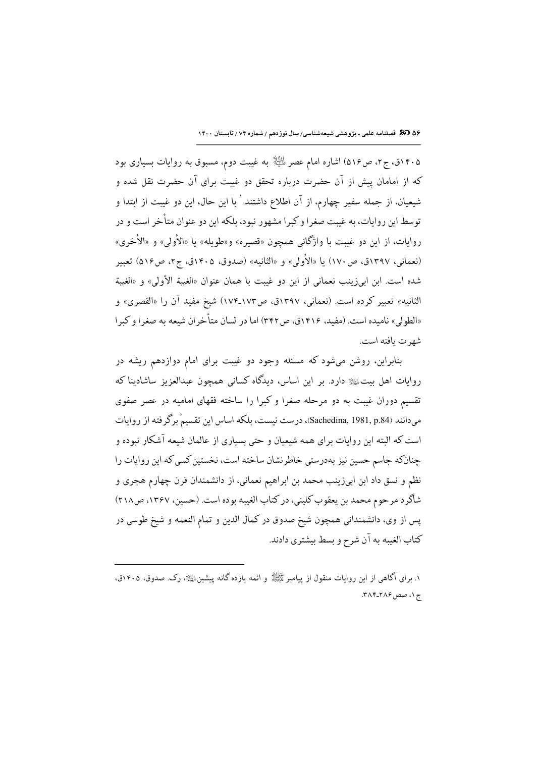۵۶ 30 میلنامه علمی ـ پژوهشی شیعهشناسی/ سال نوزدهم / شماره ۷۴ / تابستان ۱۴۰۰

۱۴۰۵ق، ج۲، ص۵۱۶) اشاره امام عصر لِهن الله به غیبت دوم، مسبوق به روایات بسیاری بود که از امامان پیش از آن حضرت درباره تحقق دو غیبت برای آن حضرت نقل شده و شيعيان، از جمله سفير چهارم، از آن اطلاع داشتند. ٰ با اين حال، اين دو غيبت از ابتدا و توسط این روایات، به غیبت صغرا و کبرا مشهور نبود، بلکه این دو عنوان متأخر است و در روايات، از اين دو غيبت با واژگاني همچون «قصيره» و«طويله» يا «الأولى» و «الأخرى» (نعمانی، ۱۳۹۷ق، ص ۱۷۰) یا «الأولی» و «الثانیه» (صدوق، ۱۴۰۵ق، ج۲، ص۱۶۵) تعبیر شده است. اين ابي زينب نعماني از اين دو غيت يا همان عنوان «الغيبة الأولى» و «الغيبة الثانيه» تعبير كرده است. (نعماني، ١٣٩٧ق، ص١٧٣ـ١٧٣) شيخ مفيد آن را «القصري» و «الطولي» ناميده است. (مفيد، ١۴١۶ق، ص٣٢٢) اما در لسان متأخران شيعه به صغرا و كبرا شهر ت بافته است.

بنابراین، روشن میشود که مسئله وجود دو غیبت برای امام دوازدهم ریشه در روایات اهل بیتﷺ دارد. بر این اساس، دیدگاه کسانی همچون عبدالعزیز ساشادینا که تقسیم دوران غیبت به دو مرحله صغرا و کبرا را ساخته فقهای امامیه در عصر صفوی میدانند (Sachedina, 1981, p.84)، درست نیست، بلکه اساس این تقسیمْ برگرفته از روایات است که البته این روایات برای همه شیعیان و حتی بسیاری از عالمان شیعه آشکار نبوده و چنانکه جاسم حسین نیز بهدرستی خاطرنشان ساخته است، نخستین کسی که این روایات را نظم و نسق داد ابن ابیزینب محمد بن ابراهیم نعمانی، از دانشمندان قرن چهارم هجری و شاگرد مرحوم محمد بن يعقوب كليني، در كتاب الغيبه بوده است. (حسين، ١٣٤٧، ص٢١٨) پس از وي، دانشمنداني همچون شيخ صدوق در كمال الدين و تمام النعمه و شيخ طوسي در كتاب الغيبه به آن شرح و بسط بيشتري دادند.

۱. برای آگاهی از این روایات منقول از پیامبر ﷺ و ائعه بازده گانه پیشین ﷺ، رک. صدوق، ۱۴۰۵ق، ج ۱، صص ۲۸۶-۳۸۴.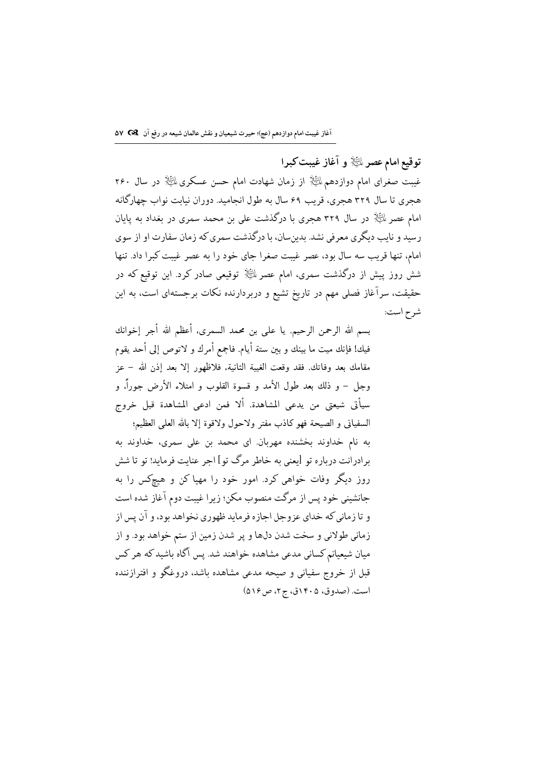توقيع امام عصر لملخٌ و آغاز غيبت كبرا غیبت صغرای امام دوازدهم لمائِیانِی از زمان شهادت امام حسن عسکری لمائِیانِی در سال ۲۶۰ هجری تا سال ۳۲۹ هجری، قریب ۶۹ سال به طول انجامید. دوران نیابت نواب چهارگانه امام عصر اللَّيْلَةِ در سال ٣٢٩ هجري با درگذشت علي بن محمد سمري در بغداد به پايان رسید و نایب دیگری معرفی نشد. بدینسان، با درگذشت سمری که زمان سفارت او از سوی امام، تنها قریب سه سال بود، عصر غیبت صغرا جای خود را به عصر غیبت کبرا داد. تنها شش روز پیش از درگذشت سمری، امام عصر لمائِیا﴿ توقیعی صادر کرد. این توقیع که در حقیقت، سرآغاز فصلی مهم در تاریخ تشیع و دربردارنده نکات برجستهای است، به این شرح است:

بسم الله الرحمن الرحيم. يا على بن محمد السمري، أعظم الله أجر إخوانك فيك! فإنك ميت ما بينك و بين ستة أيام. فاجمع أمرك و لاتوص إلى أحد يقوم مقامك بعد وفاتك. فقد وقعت الغيبة الثانية، فلاظهور إلا بعد إذن الله – عز وجل – و ذلك بعد طول الأمد و قسوة القلوب و امتلاء الأرض جوراً، و سيأتي شيعتي من يدعى المشاهدة. ألا فمن ادعى المشاهدة قبل خروج السفياني و الصيحة فهو كاذب مفتر ولاحول ولاقوة إلا بالله العلمي العظيم؛

به نام خداوند بخشنده مهربان. ای محمد بن علی سمری، خداوند به برادرانت درباره تو [یعنی به خاطر مرگ تو] اجر عنایت فرماید! تو تا شش روز دیگر وفات خواهی کرد. امور خود را مهیا کن و هیچکس را به جانشینی خود پس از مرگت منصوب مکن؛ زیرا غیبت دوم آغاز شده است و تا زماني كه خداي عزوجل اجازه فرمايد ظهوري نخواهد بود، و آن پس از زماني طولاني و سخت شدن دلها و پر شدن زمين از ستم خواهد بود. و از میان شیعیانم کسانی مدعی مشاهده خواهند شد. پس آگاه باشید که هر کس قبل از خروج سفیانی و صیحه مدعی مشاهده باشد، دروغگو و افترازننده است. (صدوق، ۱۴۰۵ق، ج۲، ص ۵۱۶)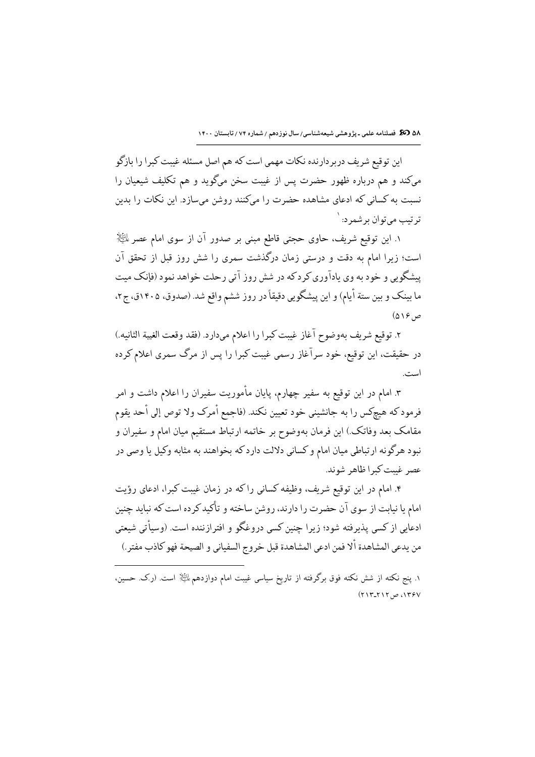۵۸ 30 تخصلنامه علمی ـ پژوهشی شیعهشناسی/ سال نوزدهم / شماره ۷۴ / تابستان ۱۴۰۰

این توقیع شریف دربردارنده نکات مهمی است که هم اصل مسئله غیبت کبرا را بازگو میکند و هم درباره ظهور حضرت پس از غیبت سخن میگوید و هم تکلیف شیعیان را نسبت به کسانی که ادعای مشاهده حضرت را میکنند روشن میسازد. این نکات را بدین ترتيب مي توان برشمرد: `

١. اين توقيع شريف، حاوي حجتى قاطع مبنى بر صدور آن از سوى امام عصر الثَّالِإ است؛ زیرا امام به دقت و درستی زمان درگذشت سمری را شش روز قبل از تحقق آن یشگویی و خود به وی پادآوری کر دکه در شش روز آتی رحلت خواهد نمود (فإنک میت ما بینک و بین ستة أیام) و این پیشگویی دقیقاً در روز ششم واقع شد. (صدوق، ۱۴۰۵ق، ج۲، ص۱۶ (۵)

٢. توقيع شريف بهوضوح آغاز غيبت كبرا را اعلام مىدارد. (فقد وقعت الغيبة الثانيه.) در حقیقت، این توقیع، خود سرآغاز رسمی غیبت کبرا را پس از مرگ سمری اعلام کرده است.

۳. امام در این توقیع به سفیر چهارم، پایان مأموریت سفیران را اعلام داشت و امر فرمودكه هيچكس را به جانشيني خود تعيين نكند. (فاجمع أمرك ولا توص إلى أحد يقوم مقامک بعد وفاتک.) این فرمان بهوضوح بر خاتمه ارتباط مستقیم میان امام و سفیران و نبود هرگونه ارتباطي ميان امام و كساني دلالت دارد كه بخواهند به مثابه وكيل يا وصي در عصر غيبت كبرا ظاهر شوند.

۴. امام در این توقیع شریف، وظیفه کسانی راکه در زمان غیبت کبرا، ادعای رؤیت امام یا نیابت از سوی آن حضرت را دارند، روشن ساخته و تأکید کرده است که نباید چنین ادعابی از کسی پذیرفته شود؛ زیرا چنین کسی دروغگو و افترازننده است. (وسیأتی شیعتی من يدعى المشاهدة ألا فمن ادعى المشاهدة قبل خروج السفياني و الصيحة فهو كاذب مفتر .)

١. ينج نكته از شش نكته فوق برگرفته از تاريخ سياسي غيبت امام دوازدهم الﷺ است. (ر.ک. حسين، ۱۳۶۷، ص۲۱۲-۲۱۳)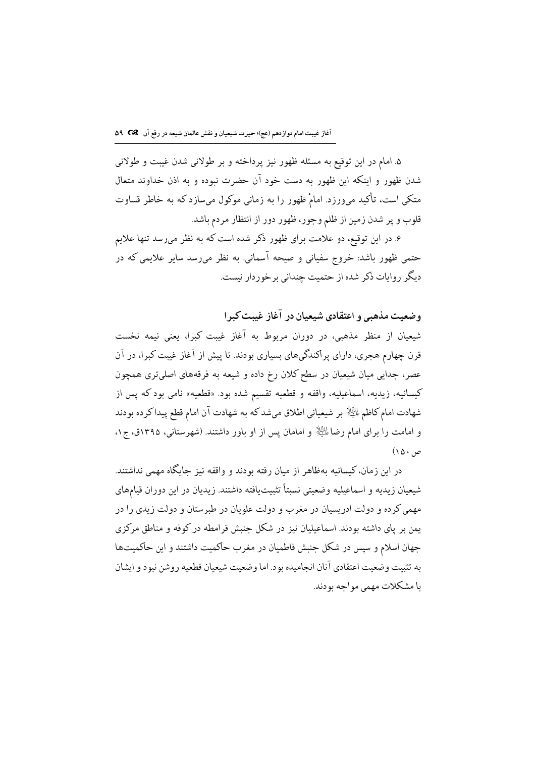۵. امام در این توقیع به مسئله ظهور نیز پرداخته و بر طولانی شدن غیبت و طولانی شدن ظهور و اینکه این ظهور به دست خود آن حضرت نبوده و به اذن خداوند متعال متکی است، تأکید میورزد. امامْ ظهور را به زمانی موکول میسازد که به خاطر قساوت قلوب و پر شدن زمین از ظلم وجور، ظهور دور از انتظار مردم باشد.

۶. در این توقیع، دو علامت برای ظهور ذکر شده است که به نظر میرسد تنها علایم حتمی ظهور باشد: خروج سفیانی و صیحه آسمانی. به نظر میرسد سایر علایمی که در دیگر روایات ذکر شده از حتمیت چندانی بر خوردار نیست.

وضعیت مذهبی و اعتقادی شیعیان در آغاز غست کیرا

شیعیان از منظر مذهبی، در دوران مربوط به آغاز غیبت کبرا، یعنی نیمه نخست قرن چهارم هجری، دارای پراکندگیهای بسیاری بودند. تا پیش از آغاز غیبت کبرا، در آن عصر، جدایی میان شیعیان در سطح کلان رخ داده و شیعه به فرقههای اصلیتری همچون كيسانيه، زيديه، اسماعيليه، واقفه و قطعيه تقسيم شده بود. «قطعيه» نامي بودكه پس از شهادت امام كاظم اللِّيَّلْإ بر شيعياني اطلاق ميشد كه به شهادت آن امام قطع ييداكرده بودند و امامت را برای امام رضا الخِلا و امامان پس از او باور داشتند. (شهرستانی، ۱۳۹۵ق، ج۱،  $(10.4)$ 

در این زمان،کیسانیه بهظاهر از میان رفته بودند و واقفه نیز جایگاه مهمی نداشتند. شیعیان زیدیه و اسماعیلیه وضعیتی نسبتاً تثبیتیافته داشتند. زیدیان در این دوران قیامهای مهمی کرده و دولت ادریسیان در مغرب و دولت علویان در طبرستان و دولت زیدی را در یمن بر یای داشته بودند. اسماعیلیان نیز در شکل جنبش قرامطه در کوفه و مناطق مرکزی جهان اسلام و سپس در شکل جنبش فاطمیان در مغرب حاکمیت داشتند و این حاکمیتها به تثبیت وضعیت اعتقادی آنان انحامیده بود. اما وضعیت شیعیان قطعیه روشن نبود و ایشان با مشکلات مهمی مواحه بودند.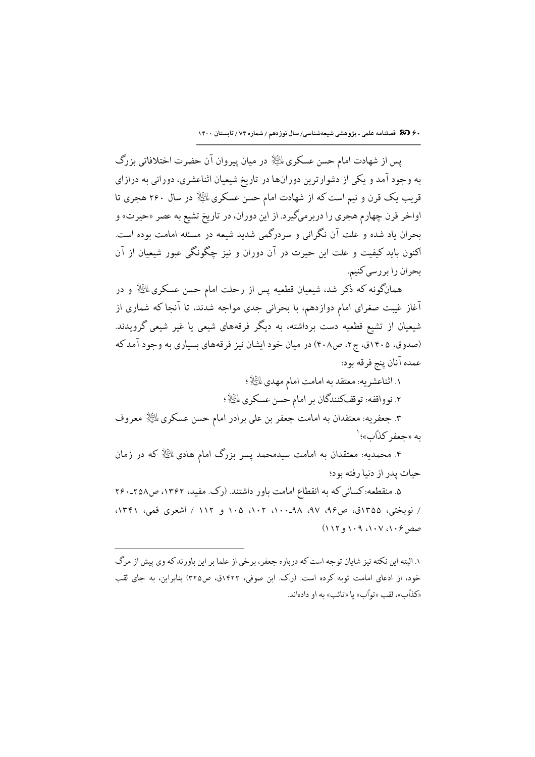۶۰ 30 فصلنامه علمی ـ پژوهشی شیعهشناسی/سال نوزدهم / شماره ۷۴ / تابستان ۱۴۰۰

يس از شهادت امام حسن عسكري ﷺ در ميان پيروان آن حضرت اختلافاتي بزرگ به وجود آمد و یکی از دشوارترین دورانها در تاریخ شیعیان اثناعشری، دورانی به درازای قریب یک قرن و نیم است که از شهادت امام حسن عسکری لمائِیا﴿ در سال ۲۶۰ هجری تا اواخر قرن چهارم هجری را دربرمیگیرد. از این دوران، در تاریخ تشیع به عصر «حیرت» و بحران یاد شده و علت آن نگرانی و سردرگمی شدید شیعه در مسئله امامت بوده است. .<br>اکنون باید کیفیت و علت این حیرت در آن دوران و نیز چگونگی عبور شیعیان از آن بحران را بررسي كنيم.

همانگونه که ذکر شد، شیعیان قطعیه پس از رحلت امام حسن عسکری ﷺ و در آغاز غیبت صغرای امام دوازدهم، با بحرانی جدی مواجه شدند، تا آنجا که شماری از .<br>شیعیان از تشیع قطعیه دست برداشته، به دیگر فرقههای شیعی یا غیر شیعی گرویدند. (صدوق، ۱۴۰۵ق، ج۲، ص۴۰۸) در میان خود ایشان نیز فرقههای بسیاری به وجود آمدکه عمده آنان پنج فرقه بود:

١. اثناعشريه: معتقد به امامت امام مهدي لِلنِّهٰلاِ؛ ٢. نوواقفه: توقفكنندگان بر امام حسن عسكري الطِّلاْ؛ ۳. جعفریه: معتقدان به امامت جعفر بن علی برادر امام حسن عسکری  $\mathbb{P}^{\mathbb{K}}$  معروف

ىه «حعفر كذّاب»؛ `

۴. محمدیه: معتقدان به امامت سیدمحمد پسر بزرگ امام هادی ﷺ که در زمان حیات پدر از دنیا رفته بود؛

۵. منقطعه: کسانی که به انقطاع امامت باور داشتند. (رک. مفید، ۱۳۶۲، ص۲۵۸ـــ / نوبختي، ١٣۵۵ق، ص٩۶، ٩٧، ٩٨-١٠٠، ١٠٢، ١٠٥ و ١١٢ / اشعري قمي، ١٣۴١،  $(11191.91.1V)$  مصرع

۱. البته این نکته نیز شایان توجه است که درباره جعفر، برخی از علما بر این باورند که وی پیش از مرگ خود، از ادعای امامت توبه کرده است. (رک. این صوفی، ۱۴۲۲ق، ص۳۲۵) بنابراین، به جای لقب «كذَّابِ»، لقب «توأب» يا «تائب» به او دادهاند.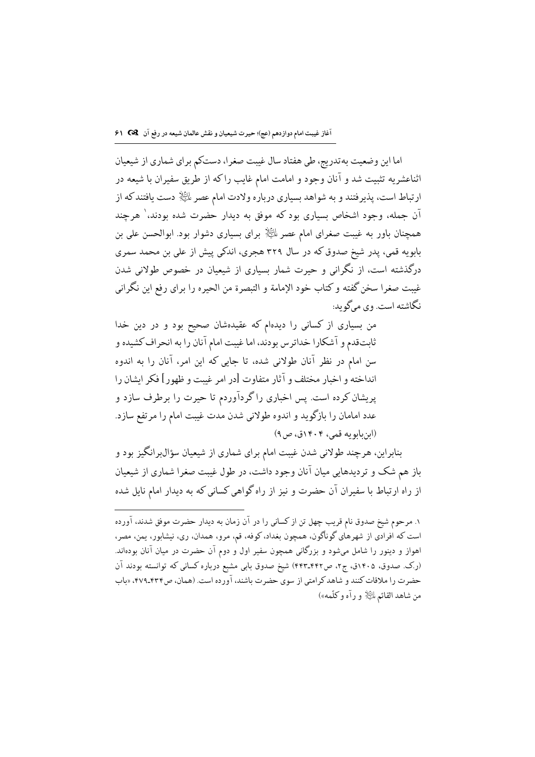اما این وضعیت به تدریج، طی هفتاد سال غیبت صغرا، دستکم برای شماری از شیعیان اثناعشریه تثبیت شد و آنان وجود و امامت امام غایب راکه از طریق سفیران با شیعه در ارتباط است، پذیرفتند و به شواهد بسیاری درباره ولادت امام عصر لمائِلاٍ دست یافتندکه از آن جمله، وجود اشخاص بسیاری بود که موفق به دیدار حضرت شده بودند،` هرچند همچنان باور به غیبت صغرای امام عصر ﷺ برای بسیاری دشوار بود. ابوالحسن علی بن بابویه قمی، پدر شیخ صدوق که در سال ۳۲۹ هجری، اندکی پیش از علی بن محمد سمری درگذشته است، از نگرانی و حیرت شمار بسیاری از شیعیان در خصوص طولانی شدن غيبت صغرا سخن گفته و كتاب خود الإمامة و التبصرة من الحيره را براى رفع اين نگرانى نگاشته است. وي ميڱويد:

من بسیاری از کسانی را دیدهام که عقیدهشان صحیح بود و در دین خدا ثابتقدم و آشکارا خداترس بودند، اما غیبت امام آنان را به انحراف کشیده و سن امام در نظر آنان طولانی شده، تا جایی که این امر، آنان را به اندوه انداخته و اخبار مختلف و آثار متفاوت [در امر غيبت و ظهور] فكر ايشان را پریشان کرده است. پس اخباری راگردآوردم تا حیرت را برطرف سازد و عدد امامان را بازگوید و اندوه طولانی شدن مدت غیبت امام را مرتفع سازد. (ابنبابويه قمي، ۱۴۰۴ق، ص۹)

بنابراین، هرچند طولانی شدن غیبت امام برای شماری از شیعیان سؤال٬برانگیز بود و باز هم شک و تردیدهایی میان آنان وجود داشت، در طول غیبت صغرا شماری از شیعیان از راه ارتباط با سفیران آن حضرت و نیز از راه گواهی کسانی که به دیدار امام نایل شده

١. مرحوم شيخ صدوق نام قريب چهل تن از كساني را در آن زمان به ديدار حضرت موفق شدند، آورده است که افرادي از شهرهاي گوناگون، همچون بغداد، کوفه، قم، مرو، همدان، ري، نيشابور، يمن، مصر، اهواز و دینور را شامل میشود و بزرگانی همچون سفیر اول و دوم آن حضرت در میان آنان بودهاند. (رک صدوق، ۱۴۰۵ق، ج۲، ص۴۲-۴۴۳) شیخ صدوق بابی مشبع درباره کسانی که توانسته بودند آن حضرت را ملاقات كنند و شاهد كرامتي از سوى حضرت باشند، آورده است. (همان، ص۴۷۹\_۴۷۹، «باب من شاهد القائم ﷺ و رآه و كلَّمه»)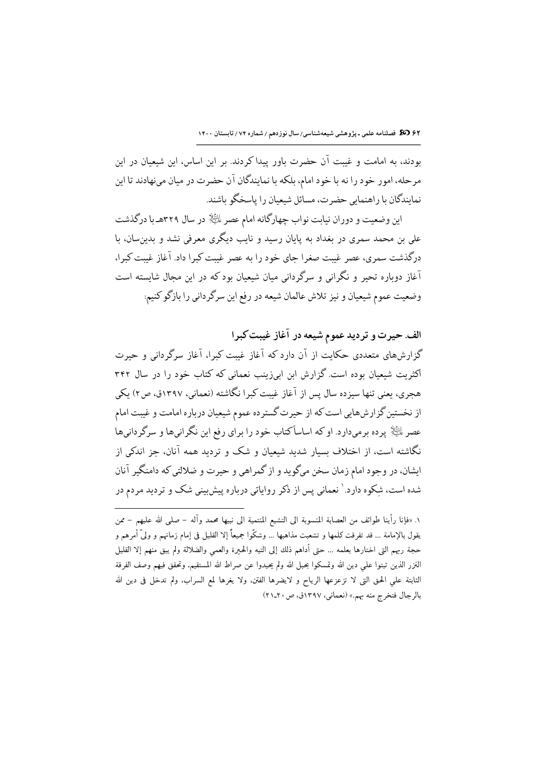۶۲ 30 فصلنامه علمی ـ پژوهشی شیعهشناسی/ سال نوزدهم / شماره ۷۴ / تابستان ۱۴۰۰

بودند، به امامت و غیبت آن حضرت باور پیدا کردند. بر این اساس، این شیعیان در این مرحله، امور خود را نه با خود امام، بلكه با نمايندگان آن حضرت در ميان مىنهادند تا اين نمایندگان با راهنمایی حضرت، مسائل شیعیان را پاسخگو باشند.

این وضعیت و دوران نیابت نواب چهارگانه امام عصر لمائِلا ٍ در سال ۳۲۹هـ با درگذشت علی بن محمد سمری در بغداد به پایان رسید و نایب دیگری معرفی نشد و بدینِسان، با درگذشت سمری، عصر غیبت صغرا جای خود را به عصر غیبت کبرا داد. آغاز غیبت کبرا، آغاز دوباره تحیر و نگرانی و سرگردانی میان شیعیان بود که در این مجال شایسته است وضعیت عموم شیعیان و نیز تلاش عالمان شیعه در رفع این سرگردانی را بازگو کنیم:

الف. حیرت و تردید عموم شیعه در آغاز غیبت کبرا گزارشهای متعددی حکایت از آن دارد که آغاز غیبت کبرا، آغاز سرگردانی و حیرت اکثریت شیعیان بوده است. گزارش ابن ابیزینب نعمانی که کتاب خود را در سال ۳۴۲ هجری، یعنی تنها سیزده سال پس از آغاز غیبت کبرا نگاشته (نعمانی، ۱۳۹۷ق، ص۲) یکی از نخستین گزارش،ایی است که از حیرت گسترده عموم شیعیان درباره امامت و غیبت امام عصر پاﷺ پر ده پرمه دارد. او که اساساً کتاب خود را پرای رفع این نگرانی ها و سرگر دانی ها .<br>نگاشته است، از اختلاف بسیار شدید شیعیان و شک و تردید همه آنان، جز اندکی از ایشان، در وجود امام زمان سخن میگوید و از گمراهی و حیرت و ضلالتی که دامنگیر آنان شده است، شکوه دارد.` نعمانی پس از ذکر روایاتی درباره پیش بینی شک و تردید مردم در

١. «فإنا رأينا طوائف من العصابة المنسوبة الى التشيع المنتمية الى نبيها محمد وآله – صلى الله عليهم – ممن يقول بالإمامة … قد تفرقت كلمها و تشعبت مذاهبها … وشكُّوا جميعاً إلا القليل في إمام زمانهم و وليَّ أمرهم و حجة ربهم التي اختارها بعلمه … حتى أداهم ذلك إلى التيه والحيرة والعمى والضلالة ولم يبق منهم إلا القليل النزر الذين ثبتوا على دين الله وتمسكوا بحبل الله ولم يحيدوا عن صراط الله المستقيم، وتحقق فيهم وصف الفرقة الثابتة على الحق التي لا تزعزعها الرياح و لايضرها الفتن. ولا يغرها لمع السراب. ولم تدخل في دين الله بالرجال فتخرج منه بهم.» (نعماني، ١٣٩٧ق، ص ٢٠-٢١)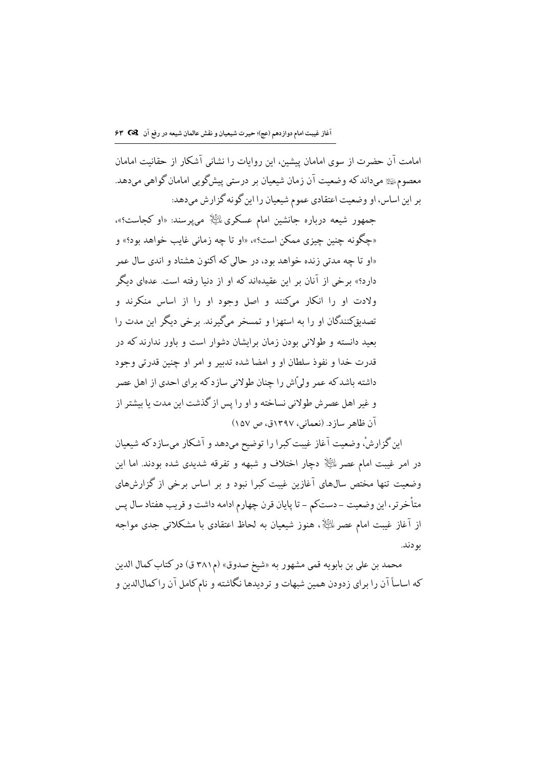امامت آن حضرت از سوی امامان پیشین، این روایات را نشانی آشکار از حقانیت امامان معصومﷺ ميداند كه وضعيت آن زمان شيعيان بر درستي پيشگويي امامان گواهي ميدهد. بر این اساس، او وضعیت اعتقادی عموم شیعیان را این گونه گزارش میدهد:

جمهور شیعه درباره جانشین امام عسکری ﷺ میپرسند: «او کجاست؟»، «چگونه چنين چيزي ممكن است؟»، «او تا چه زماني غايب خواهد بود؟» و «او تا چه مدتی زنده خواهد بود، در حالی که اکنون هشتاد و اندی سال عمر دار د؟» برخی از آنان بر این عقیدهاند که او از دنیا رفته است. عدهای دیگر .<br>ولادت او را انکار میکنند و اصل وجود او را از اساس منکرند و تصدیق کنندگان او را به استهزا و تمسخر مرگیرند. برخی دیگر این مدت را بعبد دانسته و طولانی بودن زمان برایشان دشوار است و باور ندارند که در قدرت خدا و نفوذ سلطان او و امضا شده تدبیر و امر او چنین قدرتی وجود داشته باشد که عمر ولی ًاش را چنان طولانی سازد که برای احدی از اهل عصر و غیر اهل عصرش طولانی نساخته و او را پس از گذشت این مدت یا بیشتر از آن ظاهر سازد. (نعمانی، ۱۳۹۷ق، ص ۱۵۷)

این گزارشْ، وضعیت آغاز غیبت کبرا را توضیح میدهد و آشکار میسازدکه شیعیان در امر غیبت امام عصر لمائِیا﴿ دڃار اختلاف و شبهه و تفرقه شدیدی شده بودند. اما این وضعت تنها مختص سالهای آغازین غیت کیرا نبود و پر اساس برخی از گزارشهای متأخرتر، اين وضعيت - دستكم - تا پايان قرن چهارم ادامه داشت و قريب هفتاد سال پس از آغاز غیبت امام عصر اللَّخانی هنوز شیعیان به لحاظ اعتقادی با مشکلاتی جدی مواجه بو دند.

محمد بن على بن بابويه قمي مشهور به «شيخ صدوق» (م٣٨١ ق) در كتاب كمال الدين که اساساً آن را برای زدودن همین شبهات و تردیدها نگاشته و نام کامل آن راکمالالدین و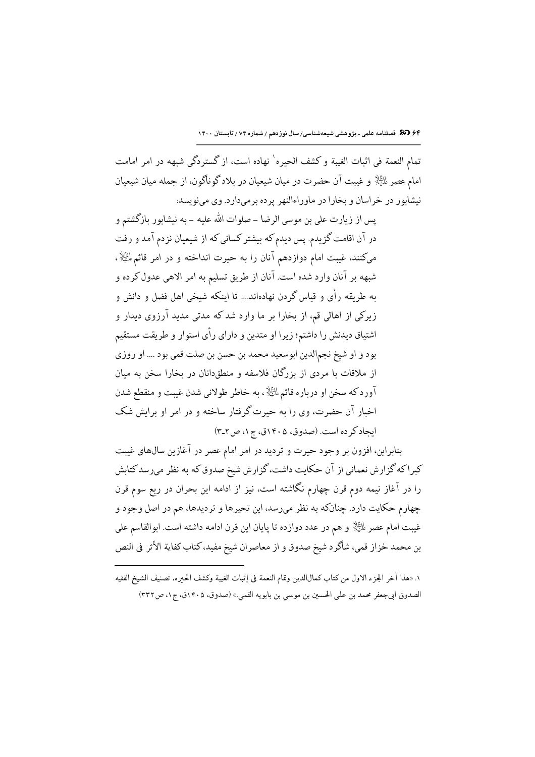تمام النعمة في اثبات الغيبة وكشف الحيره` نهاده است، از گستردگي شبهه در امر امامت امام عصر للﷺ و غیبت آن حضرت در میان شیعیان در بلادگوناگون، از جمله میان شیعیان نیشابور در خراسان و بخارا در ماوراءالنهر پرده برمیدارد. وی مینویسد:

پس از زیارت علی بن موسی الرضا – صلوات الله علیه – به نیشابور بازگشتم و در آن اقامت گزیدم. پس دیدم که بیشتر کسانی که از شیعیان نزدم آمد و رفت میکنند، غیبت امام دوازدهم آنان را به حیرت انداخته و در امر قائم للﷺ، شبهه بر آنان وارد شده است. آنان از طریق تسلیم به امر الاهی عدول کرده و به طریقه رأی و قیاس گردن نهادهاند.... تا اینکه شیخی اهل فضل و دانش و زیرکی از اهالی قم، از بخارا بر ما وارد شد که مدتی مدید آرزوی دیدار و اشتیاق دیدنش را داشتم؛ زیرا او متدین و دارای رأی استوار و طریقت مستقیم بود و او شيخ نجمالدين ابوسعيد محمد بن حسن بن صلت قمي بود .... او روزي از ملاقات با مردی از بزرگان فلاسفه و منطقدانان در بخارا سخن به میان آوردكه سخن او درباره قائم الخَلْإ ، به خاطر طولاني شدن غيبت و منقطع شدن اخبار آن حضرت، وی را به حیرت گرفتار ساخته و در امر او برایش شک ايجاد كرده است. (صدوق، ١٤٠۵ق، ج١، ص٣-٣)

بنابراین، افزون بر وجود حیرت و تردید در امر امام عصر در آغازین سال های غیبت کبراکه گزارش نعمانی از آن حکایت داشت، گزارش شیخ صدوق که به نظر میرسدکتابش را در آغاز نیمه دوم قرن چهارم نگاشته است، نیز از ادامه این بحران در ربع سوم قرن چهارم حکایت دارد. چنانکه به نظر میرسد، این تحیرها و تردیدها، هم در اصل وجود و غيبت امام عصر لِخَلِيْلٍ و هم در عدد دوازده تا پايان اين قرن ادامه داشته است. ابوالقاسم على بن محمد خزاز قمي، شاگرد شيخ صدوق و از معاصران شيخ مفيد، كتاب كفاية الأثر في النص

١. «هذا آخر الجزء الاول من كتاب كمال|لدين وتمام النعمة في إثبات الغيبة وكشف الحـره، تصنيف الشيخ الفقيه الصدوق ابي جعفر محمد بن علي الحسين بن موسى بن بابويه القمي.» (صدوق، ١٤٠۵ق، ج١، ص٣٣٢)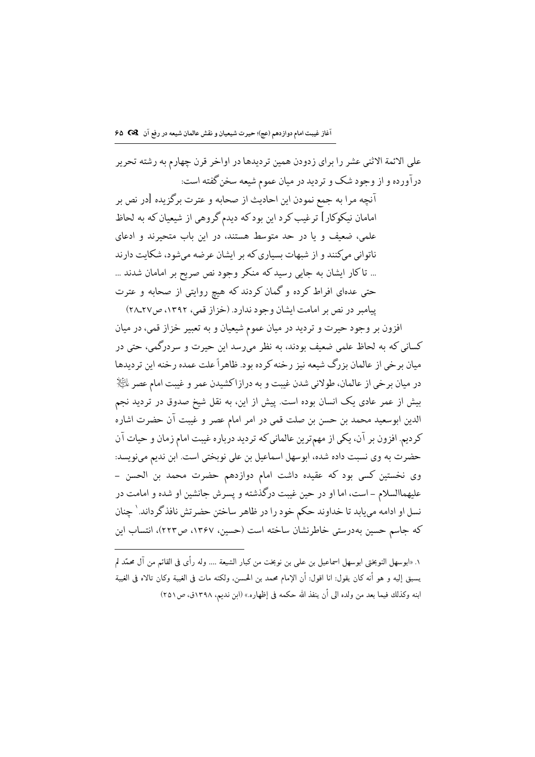على الائمة الاثني عشر را براي زدودن همين ترديدها در اواخر قرن جهارم به رشته تحرير درآورده و از وجود شک و تردید در میان عموم شیعه سخن گفته است: آنچه مرا به جمع نمودن این احادیث از صحابه و عترت برگزیده [در نص بر امامان نیکوکار] ترغیب کرد این بودکه دیدم گروهی از شیعیان که به لحاظ علمی، ضعیف و یا در حد متوسط هستند، در این باب متحیرند و ادعای ناتوانی میکنند و از شبهات بسیاری که بر ایشان عرضه میشود، شکایت دارند ... تاکار ایشان به جایی رسیدکه منکر وجود نص صریح بر امامان شدند ... حتی عدهای افراط کرده و گمان کردند که هیچ روایتی از صحابه و عترت یبامبر در نص بر امامت ایشان وجود ندارد. (خزاز قمی، ۱۳۹۲، ص۲۷\_۲۸)

افزون بر وجود حیرت و تردید در میان عموم شیعیان و به تعبیر خزاز قمی، در میان کسانی که به لحاظ علمی ضعیف بودند، به نظر میرسد این حیرت و سردرگمی، حتی در میان برخی از عالمان بزرگ شیعه نیز رخنه کرده بود. ظاهراً علت عمده رخنه این تردیدها در میان برخی از عالمان، طولانی شدن غیبت و به درازاكشیدن عمر و غیبت امام عصر علیه ایش بیش از عمر عادی یک انسان بوده است. پیش از این، به نقل شیخ صدوق در تردید نجم الدين ابوسعيد محمد بن حسن بن صلت قمي در امر امام عصر و غيبت آن حضرت اشاره كرديم. افزون بر آن، يكي از مهمترين عالماني كه ترديد درباره غيبت امام زمان و حيات آن حضرت به وي نسبت داده شده، ابوسهل اسماعيل بن على نوبختي است. ابن نديم مينويسد: وى نخستين كسى بود كه عقيده داشت امام دوازدهم حضرت محمد بن الحسن – عليهماالسلام – است، اما او در حين غيبت درگذشته و يسرش جانشين او شده و امامت در نسل او ادامه مييابد تا خداوند حكم خود را در ظاهر ساختن حضرتش نافذ گرداند. ٰ چنان كه جاسم حسين بهدرستي خاطرنشان ساخته است (حسين، ١٣۶٧، ص٢٢٣)، انتساب اين

١. «ابوسهل النوبختي ابوسهل اسماعيل بن على بن نوبخت من كبار الشيعة .... وله رأى في القائم من آل محمّد لم يسبق إليه و هو أنه كان يقول: انا اقول: أن الإمام محمد بن الحسن، ولكنه مات في الغيبة وكان تالاه في الغيبة ابنه وكذلك فيما بعد من ولده الى أن ينفذ الله حكمه في إظهاره.» (ابن نديم، ١٣٩٨ق، ص٢٥١)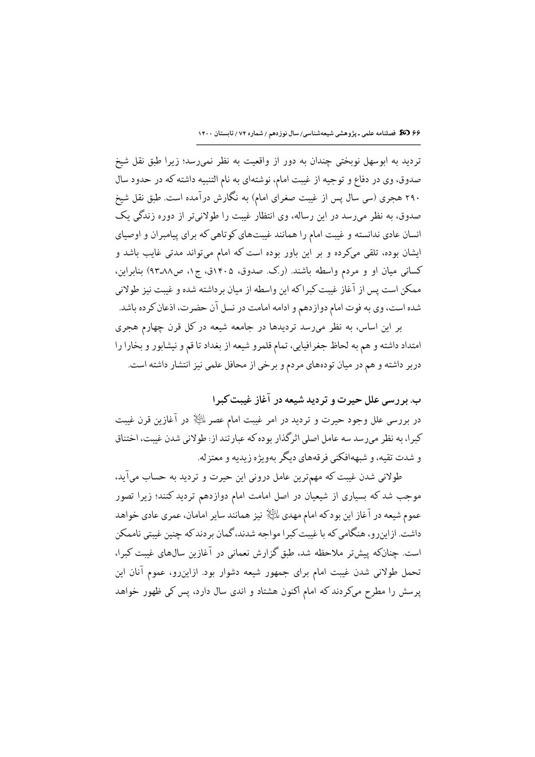۶۶ 38 فصلنامه علمی ـ پژوهشی شیعهشناسی/ سال نوزدهم / شماره ۷۴ / تابستان ۱۴۰۰

تردید به ابوسهل نوبختی چندان به دور از واقعیت به نظر نمی رسد؛ زیرا طبق نقل شیخ صدوق، وي در دفاع و توجيه از غيبت امام، نوشتهاي به نام التنبيه داشته كه در حدود سال ۲۹۰ هجری (سی سال پس از غیبت صغرای امام) به نگارش درآمده است. طبق نقل شیخ صدوق، به نظر میرسد در این رساله، وی انتظار غیبت را طولانیتر از دوره زندگی یک انسان عادی ندانسته و غیبت امام را همانند غیبتهای کوتاهی که برای پیامبران و اوصیای ایشان بوده، تلقی میکرده و بر این باور بوده است که امام میتواند مدتی غایب باشد و کسانی میان او و مردم واسطه باشند. (رک صدوق، ۱۴۰۵ق، ج۱، ص۸۸ـ۹۳) بنابراین، ممكن است پس از آغاز غيبت كبراكه اين واسطه از ميان برداشته شده و غيبت نيز طولاني شده است، وی به فوت امام دوازدهم و ادامه امامت در نسل آن حضرت، اذعان کرده باشد.

بر این اساس، به نظر میرسد تردیدها در جامعه شیعه در کل قرن چهارم هجری امتداد داشته و هم به لحاظ جغرافیایی، تمام قلمرو شیعه از بغداد تا قم و نیشابور و بخارا را دربر داشته و هم در میان تودههای مردم و برخی از محافل علمی نیز انتشار داشته است.

ب. بر رسی علل حیرت و تردید شیعه در آغاز غیبت کیرا

در بررسی علل وجود حیرت و تردید در امر غیبت امام عصر لمائِلاٍ در آغازین قرن غیبت کبرا، به نظر می رسد سه عامل اصلی اثرگذار بوده که عبارتند از: طولانی شدن غیبت، اختناق و شدت تقیه، و شبههافکنی فرقههای دیگر پهویژه زیدیه و معتزله.

طولانی شدن غیبت که مهمترین عامل درونی این حیرت و تردید به حساب میآید، موجب شد که بسیاری از شیعیان در اصل امامت امام دوازدهم تردید کنند؛ زیرا تصور عموم شیعه در آغاز این بودکه امام مهدي التِّلاِّ نيز همانند ساير امامان، عمري عادي خواهد داشت. ازاینرو، هنگامی که با غیبت کبرا مواجه شدند، گمان بردند که چنین غیبتی ناممکن است. چنانکه پیشتر ملاحظه شد، طبق گزارش نعمانی در آغازین سالهای غیبت کبرا، تحمل طولانی شدن غیبت امام برای جمهور شیعه دشوار بود. ازاینرو، عموم آنان این پرسش را مطرح میکردند که امام اکنون هشتاد و اندی سال دارد، پس کی ظهور خواهد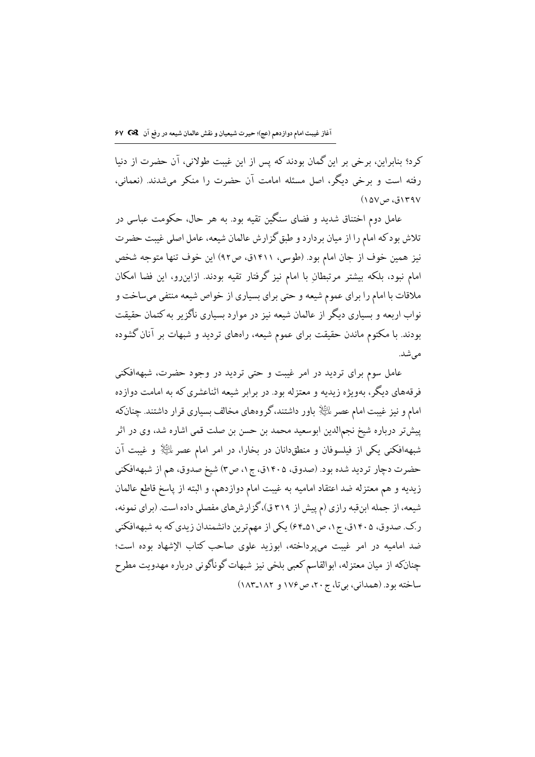كرد؟ بنابراين، برخي بر اين گمان بودند كه پس از اين غيبت طولاني، آن حضرت از دنيا رفته است و برخی دیگر، اصل مسئله امامت آن حضرت را منکر میشدند. (نعمانی، ۱۳۹۷ق، ص۱۵۷)

عامل دوم اختناق شدید و فضای سنگین تقیه بود. به هر حال، حکومت عباسی در تلاش بودكه امام را از میان بردارد و طبق گزارش عالمان شیعه، عامل اصلی غیبت حضرت نيز همين خوف از جان امام بود. (طوسى، ١٤١١ق، ص٩٢) اين خوف تنها متوجه شخص امام نبود، بلکه بیشتر مرتبطان با امام نیز گرفتار تقیه بودند. ازاینررو، این فضا امکان ملاقات با امام را برای عموم شیعه و حتی برای بسیاری از خواص شیعه منتفی میساخت و نواب اربعه و بسیاری دیگر از عالمان شیعه نیز در موارد بسیاری ناگزیر به کتمان حقیقت بودند. با مکتوم ماندن حقیقت برای عموم شیعه، راههای تردید و شبهات بر آنان گشوده مے شد.

عامل سوم برای تردید در امر غیبت و حتی تردید در وجود حضرت، شبههافکنی فرقههای دیگر، بهویژه زیدیه و معتزله بود. در برابر شیعه اثناعشری که به امامت دوازده امام و نیز غیبت امام عصر الخِلْإ باور داشتند،گروههای مخالف بسیاری قرار داشتند. چنانکه پیشتر درباره شیخ نجمالدین ابوسعید محمد بن حسن بن صلت قمی اشاره شد، وی در اثر شبههافکنی یکی از فیلسوفان و منطق،انان در بخارا، در امر امام عصر الﷺ و غیبت آن حضرت دچار تردید شده بود. (صدوق، ۱۴۰۵ق، ج۱، ص۳) شیخ صدوق، هم از شبههافکنی زيديه و هم معتزله ضد اعتقاد اماميه به غيبت امام دوازدهم، و البته از پاسخ قاطع عالمان شیعه، از جمله ابنقبه رازی (م پیش از ۳۱۹ ق)، گزارشهای مفصلی داده است. (برای نمونه، ر.ک. صدوق، ۱۴۰۵ق، ج۱، ص۵۱ـ۶۴) یکی از مهمترین دانشمندان زیدی که به شبههافکنی ضد امامیه در امر غست می پرداخته، ابوزید علوی صاحب کتاب الإشهاد بوده است؛ چنانکه از میان معتزله، ابوالقاسم کعبی بلخی نیز شبهات گوناگونی درباره مهدویت مطرح ساخته بود. (همداني، بي تا، ج ٢٠، ص١٧٤ و ١٨٢-١٨٣)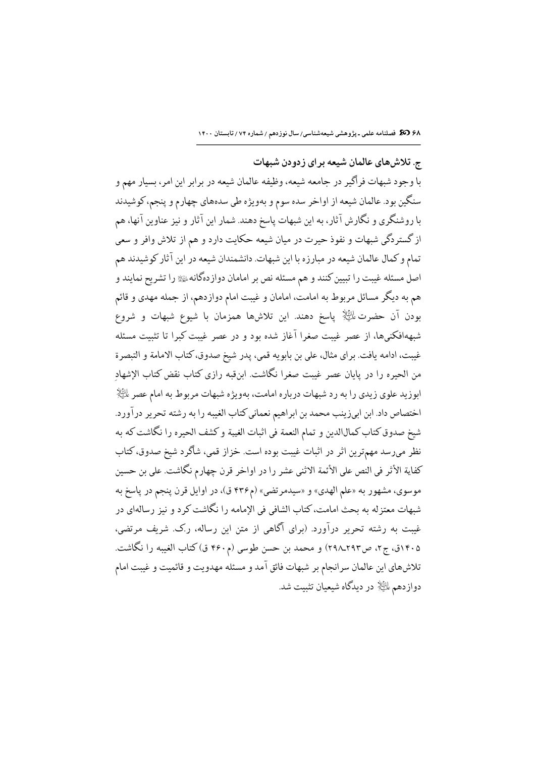۶۸ 30 فصلنامه علمی ـ پژوهشی شیعهشناسی/ سال نوزدهم / شماره ۷۴ / تابستان ۱۴۰۰

ج. تلاش های عالمان شیعه برای زدودن شبهات با وجود شبهات فراگیر در جامعه شیعه، وظیفه عالمان شیعه در برابر این امر، بسیار مهم و سنگین بود. عالمان شیعه از اواخر سده سوم و بهویژه طی سدههای چهارم و پنجم، کوشیدند با روشنگری و نگارش آثار، به این شبهات پاسخ دهند. شمار این آثار و نیز عناوین آنها، هم از گستردگی شبهات و نفوذ حیرت در میان شیعه حکایت دارد و هم از تلاش وافر و سعی تمام و کمال عالمان شیعه در مبارزه با این شبهات. دانشمندان شیعه در این آثار کوشیدند هم اصل مسئله غیبت را تبیین کنند و هم مسئله نص بر امامان دوازدهگانهﷺ را تشریح نمایند و هم به دیگر مسائل مربوط به امامت، امامان و غیبت امام دوازدهم، از جمله مهدی و قائم بودن آن حضرت للَّيِّلا پاسخ دهند. اين تلاشها همزمان با شيوع شبهات و شروع شبههافکنیها، از عصر غیبت صغرا آغاز شده بود و در عصر غیبت کبرا تا تثبیت مسئله غيبت، ادامه يافت. براي مثال، على بن بابويه قمي، پدر شيخ صدوق، كتاب الامامة و التبصرة من الحيره را در يايان عصر غيبت صغرا نگاشت. ابنقبه رازي كتاب نقض كتاب الإشهاد ابوزید علوی زیدی را به رد شبهات درباره امامت، بهویژه شبهات مربوط به امام عصر لمائِگاِ اختصاص داد. ابن ابیزینب محمد بن ابراهیم نعمانی کتاب الغیبه را به رشته تحریر درآورد. شيخ صدوق كتاب كمالالدين و تمام النعمة في اثبات الغيبة و كشف الحيره را نگاشت كه به نظر میرسد مهمترین اثر در اثبات غیبت بوده است. خزاز قمی، شاگرد شیخ صدوق، کتاب كفاية الأثر في النص على الأئمة الاثني عشر را در اواخر قرن چهارم نگاشت. على بن حسين موسوى، مشهور به «علم الهدى» و «سيدمرتضى» (م۴۳۶ ق)، در اوايل قرن پنجم در پاسخ به شبهات معتزله به بحث امامت، كتاب الشافي في الإمامه را نگاشت كرد و نيز رسالهاي در غیبت به رشته تحریر درآورد. (برای آگاهی از متن این رساله، ر.ک. شریف مرتضی، ۱۴۰۵ق، ج۲، ص۲۹۲\_۲۹۸) و محمد بن حسن طوسی (م۴۶۰ ق) کتاب الغیبه را نگاشت. تلاشهای این عالمان سرانجام بر شبهات فائق آمد و مسئله مهدویت و قائمیت و غیبت امام دوازدهم للَّيَالِ در ديدگاه شيعيان تثبيت شد.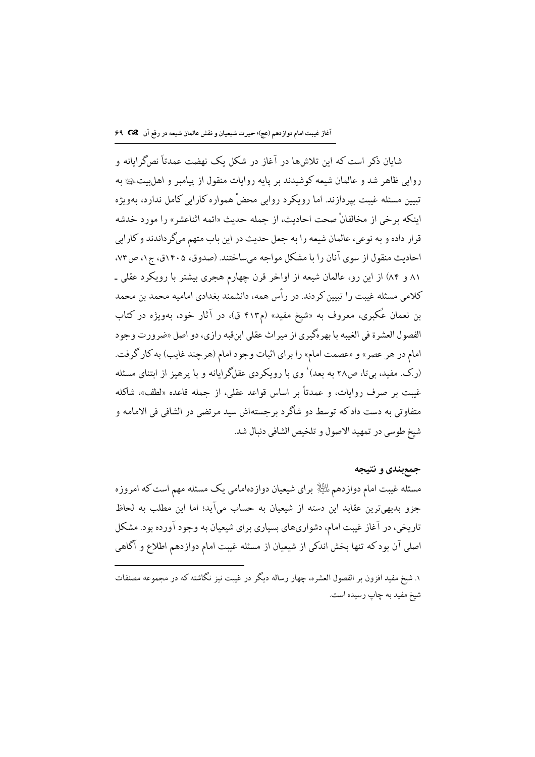شایان ذکر است که این تلاشها در آغاز در شکل یک نهضت عمدتاً نصگرایانه و روایی ظاهر شد و عالمان شیعه کوشیدند بر پایه روایات منقول از پیامبر و اهلبیت یکی به تبیین مسئله غیبت بیردازند. اما رویکرد روایی محضْ همواره کارایی کامل ندارد، بهویژه اينكه برخي از مخالفانْ صحت احاديث، از جمله حديث «ائمه اثناعشر» را مورد خدشه قرار داده و به نوعی، عالمان شیعه را به جعل حدیث در این باب متهم میگرداندند و کارایی احاديث منقول از سوى آنان را با مشكل مواجه مىساختند. (صدوق، ١٤٠۵ق، ج١، ص٧٣، ٨١ و ٨٤) از اين رو، عالمان شيعه از اواخر قرن چهارم هجري بيشتر با رويكرد عقلي ـ كلامي مسئله غيبت را تبيين كردند. در رأس همه، دانشمند بغدادي اماميه محمد بن محمد بن نعمان عُکبری، معروف به «شیخ مفید» (م۴۱۳ ق)، در آثار خود، بهویژه در کتاب الفصول العشرة في الغيبه با بهرهگيري از ميراث عقلي ابنقبه رازي، دو اصل «ضرورت وجود امام در هر عصر» و «عصمت امام» را براي اثبات وجود امام (هرچند غايب) به كار گرفت. (رک .مفید، بیتا، ص۲۸ به بعد)` وی با رویکردی عقلگرایانه و با پرهیز از ابتنای مسئله غیبت بر صرف روایات، و عمدتاً بر اساس قواعد عقلی، از جمله قاعده «لطف»، شاکله متفاوتي به دست داد كه توسط دو شاگرد برجستهاش سيد مرتضى در الشافي في الامامه و شيخ طوسي در تمهيد الاصول و تلخيص الشافي دنبال شد.

## جمع بندي و نتيجه

مسئله غیبت امام دوازدهم لمائِیا﴿ برای شیعیان دوازدهامامی یک مسئله مهم است که امروزه جزو بدیهیترین عقاید این دسته از شیعیان به حساب میآید؛ اما این مطلب به لحاظ تاریخی، در آغاز غیبت امام، دشواریهای بسیاری برای شیعیان به وجود آورده بود. مشکل اصلی آن بودکه تنها بخش اندکی از شیعیان از مسئله غیبت امام دوازدهم اطلاع و آگاهی

۱. شیخ مفید افزون بر الفصول العشره، چهار رساله دیگر در غیبت نبز نگاشته که در محموعه مصنفات شيخ مفيد به چاپ رسيده است.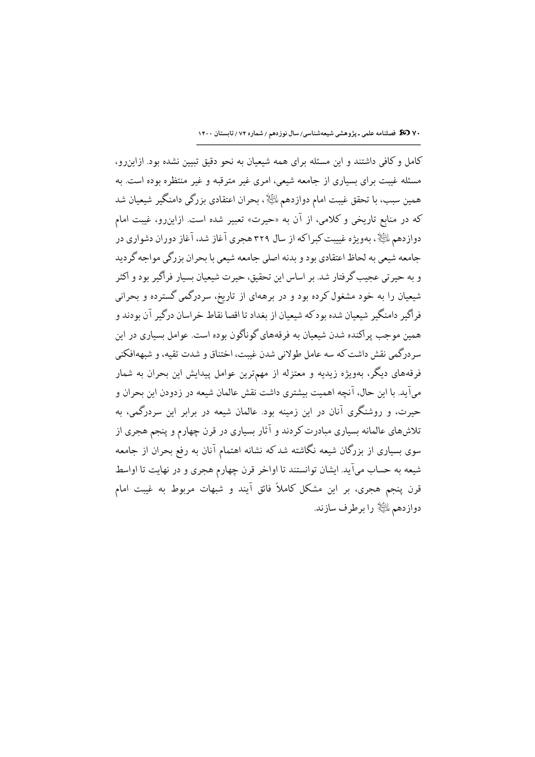٧٠ (3 فصلنامه علمی ـ پژوهشی شیعهشناسی/ سال نوزدهم / شماره ٧٤ / تابستان ١۴٠٠

کامل و کافی داشتند و این مسئله برای همه شیعیان به نحو دقیق تبیین نشده بود. ازاین رو، مسئله غیبت برای بسیاری از جامعه شیعی، امری غیر مترقبه و غیر منتظره بوده است. به همین سبب، با تحقق غیبت امام دوازدهم  $\mathbb{P}^1$ ، بحران اعتقادی بزرگی دامنگیر شیعیان شد که در منابع تاریخی و کلامی، از آن به «حیرت» تعبیر شده است. ازاینرو، غیبت امام دوازدهم لمائِلاً ، بهویژه غییبت کبراکه از سال ۳۲۹ هجری آغاز شد، آغاز دوران دشواری در جامعه شیعی به لحاظ اعتقادی بود و بدنه اصلی جامعه شیعی با بحران بزرگی مواجه گردید و به حیرتی عجیب گرفتار شد. بر اساس این تحقیق، حیرت شیعیان بسیار فراگیر بود و اکثر شیعیان را به خود مشغول کرده بود و در برههای از تاریخ، سردرگمی گسترده و بحرانی فراگیر دامنگیر شیعیان شده بودکه شیعیان از بغداد تا اقصا نقاط خراسان درگیر آن بودند و همین موجب پراکنده شدن شیعیان به فرقههای گوناگون بوده است. عوامل بسیاری در این سردرگمي نقش داشت كه سه عامل طولاني شدن غيبت، اختناق و شدت تقيه، و شبههافكني فرقههای دیگر، بهویژه زیدیه و معتزله از مهمترین عوامل پیدایش این بحران به شمار میآید. با این حال، آنچه اهمیت بیشتری داشت نقش عالمان شیعه در زدودن این بحران و حیرت، و روشنگری آنان در این زمینه بود. عالمان شیعه در برابر این سردرگمی، به تلاشهای عالمانه بسیاری مبادرت کردند و آثار بسیاری در قرن چهارم و پنجم هجری از سوی بسیاری از بزرگان شیعه نگاشته شدکه نشانه اهتمام آنان به رفع بحران از جامعه شیعه به حساب میآید. ایشان توانستند تا اواخر قرن چهارم هجری و در نهایت تا اواسط قرن پنجم هجری، بر این مشکل کاملاً فائق آیند و شبهات مربوط به غیبت امام دوازدهم ءلله را برطرف سازند.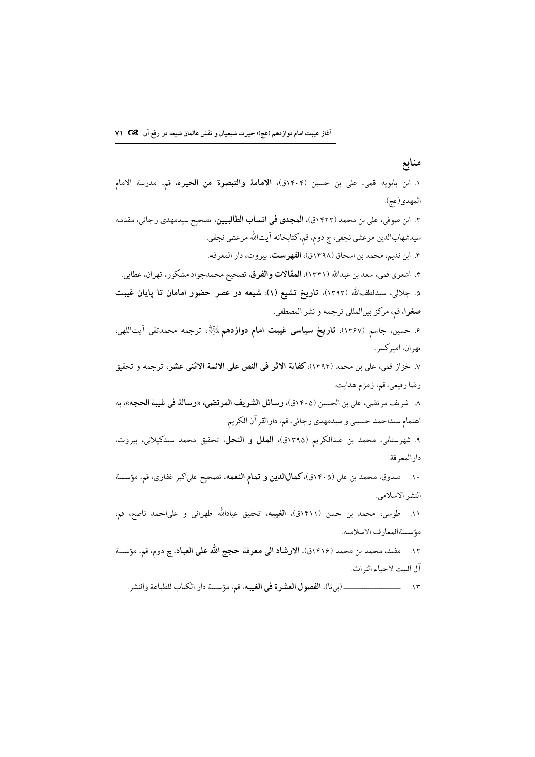منابع ١. ابن بابويه قمى، على بن حسين (١٤٠۴ق)، الامامة والتبصرة من الحيره، قم، مدرسة الامام المهدي(عج). ۲. ابن صوفي، علي بن محمد (۱۴۲۲ق)، **المجدي في انساب الطالبيين**، تصحيح سيدمهدي رجائي، مقدمه سيدشهابالدين مرعشي نجفي، چ دوم، قم، كتابخانه آيتالله مرعشي نجفي. ٣. ابن نديم، محمد بن اسحاق (١٣٩٨ق)، **الفهرست**، بيروت، دار المعرفه. ۴. اشعري قمي، سعد بن عبدالله (١٣۴١)، المقالات والفرق، تصحيح محمدجواد مشكور، تهران، عطايي. ۵. جلالی، سیدلطفالله (۱۳۹۲)، تاریخ تشیع (۱): شیعه در عصر حضور امامان تا پایان غیبت **صغر**ا، قم، مركز بينالمللي ترجمه و نشر المصطفى. ۶ـ حسین، جاسم (۱۳۶۷)، **تاریخ سیاسی غیبت امام دوازدهم** الثَّای<sup>ن</sup>ی ترجمه محمدتقی آیتاللهی، تھران، امبرکبیر . ٧. خزاز قمي، على بن محمد (١٣٩٢)، كفاية الاثر في النص على الائمة الاثنى عشر، ترجمه و تحقيق رضا رفيعي، قم، زمزم هدايت. ٨- شريف مرتضى، على بن الحسين (١٤٠۵ق)، **رسائل الشريف المرتضى**، «**رسالة في غيبة الحجه**»، به اهتمام سيداحمد حسيني و سيدمهدي رجائي، قم، دارالقرآن الكريم. ۹. شهرستاني، محمد بن عبدالكريم (١٣٩٥ق)، الملل و النحل، تحقيق محمد سيدكيلاني، بيروت، دار المعرفة. ۱۰. مصدوق، محمد بن على (۱۴۰۵ق)، كمالاللدين و تمام النعمه، تصحيح على اكبر غفاري، قم، مؤسسة النشر الاسلامي. ۱۱. طوسی، محمد بن حسن (۱۴۱۱ق)، ا**لغیبه**، تحقیق عبادالله طهرانی و علیاحمد ناصح، قم، مؤسسةالمعارف الاسلاميه. ١٢. مفيد، محمد بن محمد (١٤١۶ق)، **الارشاد الى معرفة حجج الله على العباد**، چ دوم، قم، مؤسسة آل البيت لاحياء التراث.